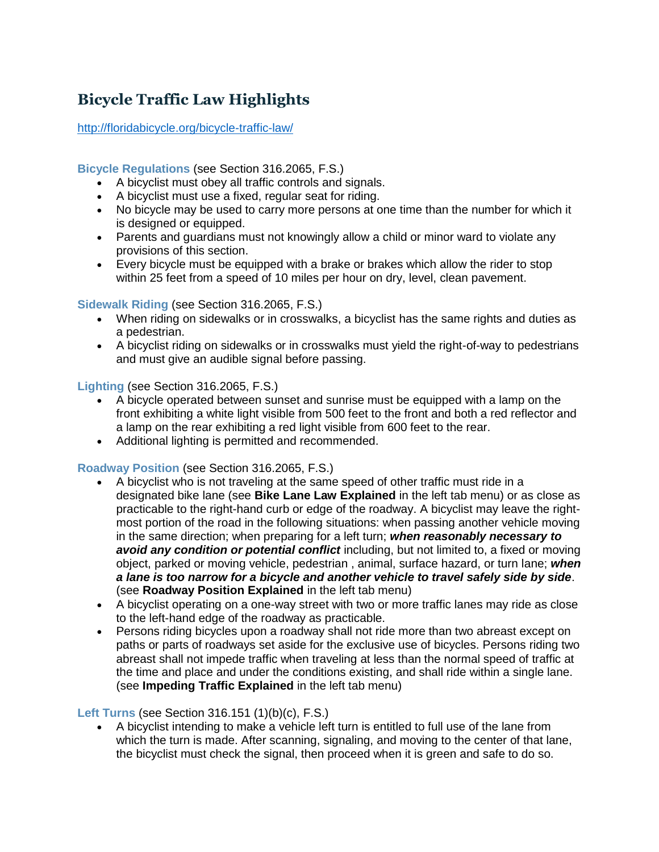# **Bicycle Traffic Law Highlights**

<http://floridabicycle.org/bicycle-traffic-law/>

**Bicycle Regulations** (see Section 316.2065, F.S.)

- A bicyclist must obey all traffic controls and signals.
- A bicyclist must use a fixed, regular seat for riding.
- No bicycle may be used to carry more persons at one time than the number for which it is designed or equipped.
- Parents and guardians must not knowingly allow a child or minor ward to violate any provisions of this section.
- Every bicycle must be equipped with a brake or brakes which allow the rider to stop within 25 feet from a speed of 10 miles per hour on dry, level, clean pavement.

# **Sidewalk Riding** (see Section 316.2065, F.S.)

- When riding on sidewalks or in crosswalks, a bicyclist has the same rights and duties as a pedestrian.
- A bicyclist riding on sidewalks or in crosswalks must yield the right-of-way to pedestrians and must give an audible signal before passing.

**Lighting** (see Section 316.2065, F.S.)

- A bicycle operated between sunset and sunrise must be equipped with a lamp on the front exhibiting a white light visible from 500 feet to the front and both a red reflector and a lamp on the rear exhibiting a red light visible from 600 feet to the rear.
- Additional lighting is permitted and recommended.

# **Roadway Position** (see Section 316.2065, F.S.)

- A bicyclist who is not traveling at the same speed of other traffic must ride in a designated bike lane (see **Bike Lane Law Explained** in the left tab menu) or as close as practicable to the right-hand curb or edge of the roadway. A bicyclist may leave the rightmost portion of the road in the following situations: when passing another vehicle moving in the same direction; when preparing for a left turn; *when reasonably necessary to avoid any condition or potential conflict* including, but not limited to, a fixed or moving object, parked or moving vehicle, pedestrian , animal, surface hazard, or turn lane; *when a lane is too narrow for a bicycle and another vehicle to travel safely side by side*. (see **Roadway Position Explained** in the left tab menu)
- A bicyclist operating on a one-way street with two or more traffic lanes may ride as close to the left-hand edge of the roadway as practicable.
- Persons riding bicycles upon a roadway shall not ride more than two abreast except on paths or parts of roadways set aside for the exclusive use of bicycles. Persons riding two abreast shall not impede traffic when traveling at less than the normal speed of traffic at the time and place and under the conditions existing, and shall ride within a single lane. (see **Impeding Traffic Explained** in the left tab menu)

# **Left Turns** (see Section 316.151 (1)(b)(c), F.S.)

 A bicyclist intending to make a vehicle left turn is entitled to full use of the lane from which the turn is made. After scanning, signaling, and moving to the center of that lane, the bicyclist must check the signal, then proceed when it is green and safe to do so.